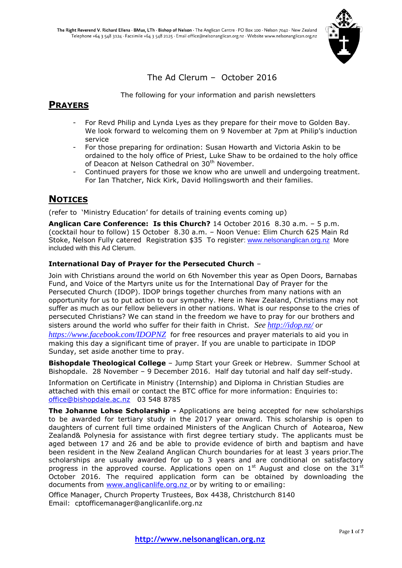

# The Ad Clerum – October 2016

The following for your information and parish newsletters

# **PRAYERS**

- For Revd Philip and Lynda Lyes as they prepare for their move to Golden Bay. We look forward to welcoming them on 9 November at 7pm at Philip's induction service
- For those preparing for ordination: Susan Howarth and Victoria Askin to be ordained to the holy office of Priest, Luke Shaw to be ordained to the holy office of Deacon at Nelson Cathedral on 30<sup>th</sup> November.
- Continued prayers for those we know who are unwell and undergoing treatment. For Ian Thatcher, Nick Kirk, David Hollingsworth and their families.

# **NOTICES**

(refer to 'Ministry Education' for details of training events coming up)

**Anglican Care Conference: Is this Church?** 14 October 2016 8.30 a.m. – 5 p.m. (cocktail hour to follow) 15 October 8.30 a.m. – Noon Venue: Elim Church 625 Main Rd Stoke, Nelson Fully catered Registration \$35 To register: [www.nelsonanglican.org.nz](http://www.nelsonanglican.org.nz/) More included with this Ad Clerum.

# **International Day of Prayer for the Persecuted Church** –

Join with Christians around the world on 6th November this year as Open Doors, Barnabas Fund, and Voice of the Martyrs unite us for the International Day of Prayer for the Persecuted Church (IDOP). IDOP brings together churches from many nations with an opportunity for us to put action to our sympathy. Here in New Zealand, Christians may not suffer as much as our fellow believers in other nations. What is our response to the cries of persecuted Christians? We can stand in the freedom we have to pray for our brothers and sisters around the world who suffer for their faith in Christ. *See<http://idop.nz/> or <https://www.facebook.com/IDOPNZ>* for free resources and prayer materials to aid you in making this day a significant time of prayer. If you are unable to participate in IDOP Sunday, set aside another time to pray.

**Bishopdale Theological College** – Jump Start your Greek or Hebrew. Summer School at Bishopdale. 28 November – 9 December 2016. Half day tutorial and half day self-study.

Information on Certificate in Ministry (Internship) and Diploma in Christian Studies are attached with this email or contact the BTC office for more information: Enquiries to: [office@bishopdale.ac.nz](mailto:office@bishopdale.ac.nz) 03 548 8785

**The Johanne Lohse Scholarship -** Applications are being accepted for new scholarships to be awarded for tertiary study in the 2017 year onward. This scholarship is open to daughters of current full time ordained Ministers of the Anglican Church of Aotearoa, New Zealand& Polynesia for assistance with first degree tertiary study. The applicants must be aged between 17 and 26 and be able to provide evidence of birth and baptism and have been resident in the New Zealand Anglican Church boundaries for at least 3 years prior.The scholarships are usually awarded for up to 3 years and are conditional on satisfactory progress in the approved course. Applications open on  $1<sup>st</sup>$  August and close on the 31 $<sup>st</sup>$ </sup> October 2016. The required application form can be obtained by downloading the documents from [www.anglicanlife.org.nz](mailto:anglicanlife.org.nz) or by writing to or emailing:

Office Manager, Church Property Trustees, Box 4438, Christchurch 8140 Email: cptofficemanager@anglicanlife.org.nz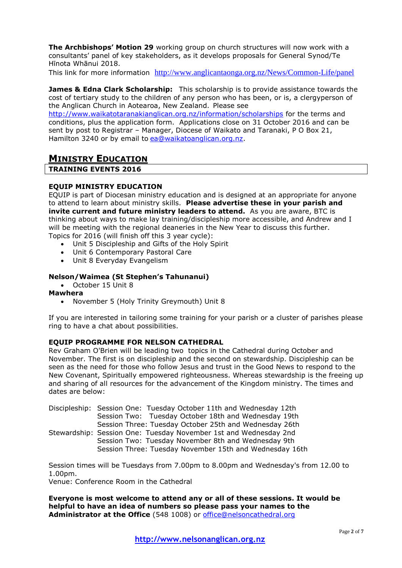**The Archbishops' Motion 29** working group on church structures will now work with a consultants' panel of key stakeholders, as it develops proposals for General Synod/Te Hīnota Whānui 2018.

This link for more information <http://www.anglicantaonga.org.nz/News/Common-Life/panel>

**James & Edna Clark Scholarship:** This scholarship is to provide assistance towards the cost of tertiary study to the children of any person who has been, or is, a clergyperson of the Anglican Church in Aotearoa, New Zealand. Please see

<http://www.waikatotaranakianglican.org.nz/information/scholarships> for the terms and conditions, plus the application form. Applications close on 31 October 2016 and can be sent by post to Registrar – Manager, Diocese of Waikato and Taranaki, P O Box 21, Hamilton 3240 or by email to [ea@waikatoanglican.org.nz.](mailto:ea@waikatoanglican.org.nz)

# **MINISTRY EDUCATION**

## **TRAINING EVENTS 2016**

## **EQUIP MINISTRY EDUCATION**

EQUIP is part of Diocesan ministry education and is designed at an appropriate for anyone to attend to learn about ministry skills. **Please advertise these in your parish and invite current and future ministry leaders to attend.** As you are aware, BTC is thinking about ways to make lay training/discipleship more accessible, and Andrew and I will be meeting with the regional deaneries in the New Year to discuss this further. Topics for 2016 (will finish off this 3 year cycle):

- Unit 5 Discipleship and Gifts of the Holy Spirit
- Unit 6 Contemporary Pastoral Care
- Unit 8 Everyday Evangelism

## **Nelson/Waimea (St Stephen's Tahunanui)**

October 15 Unit 8

#### **Mawhera**

November 5 (Holy Trinity Greymouth) Unit 8

If you are interested in tailoring some training for your parish or a cluster of parishes please ring to have a chat about possibilities.

#### **EQUIP PROGRAMME FOR NELSON CATHEDRAL**

Rev Graham O'Brien will be leading two topics in the Cathedral during October and November. The first is on discipleship and the second on stewardship. Discipleship can be seen as the need for those who follow Jesus and trust in the Good News to respond to the New Covenant, Spiritually empowered righteousness. Whereas stewardship is the freeing up and sharing of all resources for the advancement of the Kingdom ministry. The times and dates are below:

Discipleship: Session One: Tuesday October 11th and Wednesday 12th Session Two: Tuesday October 18th and Wednesday 19th Session Three: Tuesday October 25th and Wednesday 26th Stewardship: Session One: Tuesday November 1st and Wednesday 2nd Session Two: Tuesday November 8th and Wednesday 9th Session Three: Tuesday November 15th and Wednesday 16th

Session times will be Tuesdays from 7.00pm to 8.00pm and Wednesday's from 12.00 to 1.00pm.

Venue: Conference Room in the Cathedral

**Everyone is most welcome to attend any or all of these sessions. It would be helpful to have an idea of numbers so please pass your names to the Administrator at the Office** (548 1008) or [office@nelsoncathedral.org](mailto:office@nelsoncathedral.org)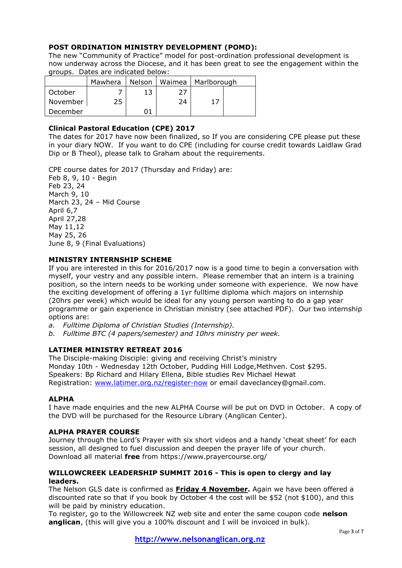## **POST ORDINATION MINISTRY DEVELOPMENT (POMD):**

The new "Community of Practice" model for post-ordination professional development is now underway across the Diocese, and it has been great to see the engagement within the groups. Dates are indicated below:

|          | Mawhera |    |    | Nelson   Waimea   Marlborough |  |
|----------|---------|----|----|-------------------------------|--|
| October  |         | 13 |    |                               |  |
| November | 25      |    | 24 |                               |  |
| December |         |    |    |                               |  |

## **Clinical Pastoral Education (CPE) 2017**

The dates for 2017 have now been finalized, so If you are considering CPE please put these in your diary NOW. If you want to do CPE (including for course credit towards Laidlaw Grad Dip or B Theol), please talk to Graham about the requirements.

CPE course dates for 2017 (Thursday and Friday) are: Feb 8, 9, 10 - Begin Feb 23, 24 March 9, 10 March 23, 24 – Mid Course April 6,7 April 27,28 May 11,12 May 25, 26 June 8, 9 (Final Evaluations)

#### **MINISTRY INTERNSHIP SCHEME**

If you are interested in this for 2016/2017 now is a good time to begin a conversation with myself, your vestry and any possible intern. Please remember that an intern is a training position, so the intern needs to be working under someone with experience. We now have the exciting development of offering a 1yr fulltime diploma which majors on internship (20hrs per week) which would be ideal for any young person wanting to do a gap year programme or gain experience in Christian ministry (see attached PDF). Our two internship options are:

- *a. Fulltime Diploma of Christian Studies (Internship).*
- *b. Fulltime BTC (4 papers/semester) and 10hrs ministry per week.*

## **LATIMER MINISTRY RETREAT 2016**

The Disciple-making Disciple: giving and receiving Christ's ministry Monday 10th - Wednesday 12th October, Pudding Hill Lodge,Methven. Cost \$295. Speakers: Bp Richard and Hilary Ellena, Bible studies Rev Michael Hewat Registration: [www.latimer.org.nz/register-now](http://www.latimer.org.nz/register-now) or email daveclancey@gmail.com.

#### **ALPHA**

I have made enquiries and the new ALPHA Course will be put on DVD in October. A copy of the DVD will be purchased for the Resource Library (Anglican Center).

#### **ALPHA PRAYER COURSE**

Journey through the Lord's Prayer with six short videos and a handy 'cheat sheet' for each session, all designed to fuel discussion and deepen the prayer life of your church. Download all material **free** from https://www.prayercourse.org/

#### **WILLOWCREEK LEADERSHIP SUMMIT 2016 - This is open to clergy and lay leaders.**

The Nelson GLS date is confirmed as **Friday 4 November.** Again we have been offered a discounted rate so that if you book by October 4 the cost will be \$52 (not \$100), and this will be paid by ministry education.

To register, go to the Willowcreek NZ web site and enter the same coupon code **nelson anglican**, (this will give you a 100% discount and I will be invoiced in bulk).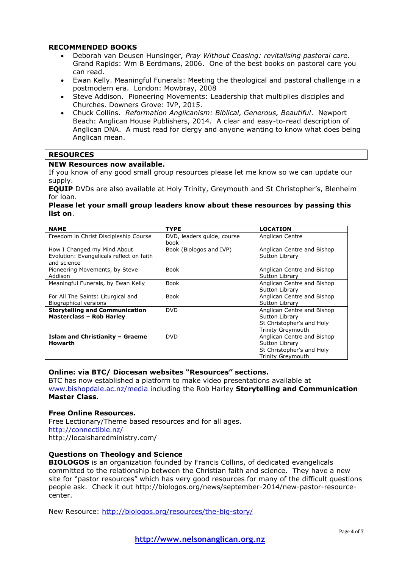#### **RECOMMENDED BOOKS**

- Deborah van Deusen Hunsinger, *Pray Without Ceasing: revitalising pastoral care*. Grand Rapids: Wm B Eerdmans, 2006. One of the best books on pastoral care you can read.
- Ewan Kelly. Meaningful Funerals: Meeting the theological and pastoral challenge in a postmodern era. London: Mowbray, 2008
- Steve Addison. Pioneering Movements: Leadership that multiplies disciples and Churches. Downers Grove: IVP, 2015.
- Chuck Collins. *Reformation Anglicanism: Biblical, Generous, Beautiful*. Newport Beach: Anglican House Publishers, 2014. A clear and easy-to-read description of Anglican DNA. A must read for clergy and anyone wanting to know what does being Anglican mean.

## **RESOURCES**

## **NEW Resources now available.**

If you know of any good small group resources please let me know so we can update our supply.

**EQUIP** DVDs are also available at Holy Trinity, Greymouth and St Christopher's, Blenheim for loan.

#### **Please let your small group leaders know about these resources by passing this list on**.

| <b>NAME</b>                                                                            | <b>TYPE</b>                        | <b>LOCATION</b>                                                                                       |  |
|----------------------------------------------------------------------------------------|------------------------------------|-------------------------------------------------------------------------------------------------------|--|
| Freedom in Christ Discipleship Course                                                  | DVD, leaders quide, course<br>book | Anglican Centre                                                                                       |  |
| How I Changed my Mind About<br>Evolution: Evangelicals reflect on faith<br>and science | Book (Biologos and IVP)            | Anglican Centre and Bishop<br>Sutton Library                                                          |  |
| Pioneering Movements, by Steve<br>Addison                                              | <b>Book</b>                        | Anglican Centre and Bishop<br>Sutton Library                                                          |  |
| Meaningful Funerals, by Ewan Kelly                                                     | <b>Book</b>                        | Anglican Centre and Bishop<br>Sutton Library                                                          |  |
| For All The Saints: Liturgical and<br>Biographical versions                            | <b>Book</b>                        | Anglican Centre and Bishop<br>Sutton Library                                                          |  |
| <b>Storytelling and Communication</b><br><b>Masterclass - Rob Harley</b>               | <b>DVD</b>                         | Anglican Centre and Bishop<br>Sutton Library<br>St Christopher's and Holy<br><b>Trinity Greymouth</b> |  |
| Islam and Christianity - Graeme<br><b>Howarth</b>                                      | <b>DVD</b>                         | Anglican Centre and Bishop<br>Sutton Library<br>St Christopher's and Holy<br><b>Trinity Greymouth</b> |  |

#### **Online: via BTC/ Diocesan websites "Resources" sections.**

BTC has now established a platform to make video presentations available at [www.bishopdale.ac.nz/media](http://www.bishopdale.ac.nz/media) including the Rob Harley **Storytelling and Communication Master Class.**

#### **Free Online Resources.**

Free Lectionary/Theme based resources and for all ages. <http://connectible.nz/> http://localsharedministry.com/

#### **Questions on Theology and Science**

**BIOLOGOS** is an organization founded by Francis Collins, of dedicated evangelicals committed to the relationship between the Christian faith and science. They have a new site for "pastor resources" which has very good resources for many of the difficult questions people ask. Check it out http://biologos.org/news/september-2014/new-pastor-resourcecenter.

New Resource:<http://biologos.org/resources/the-big-story/>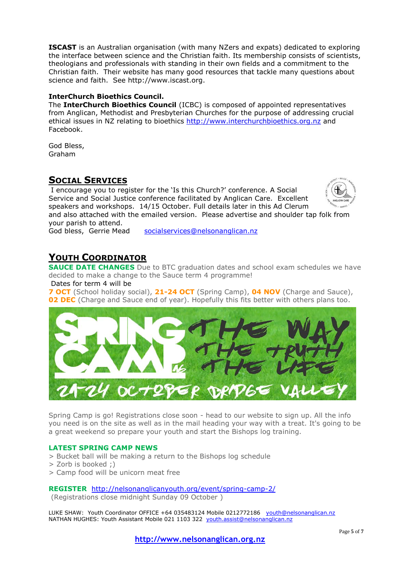**ISCAST** is an Australian organisation (with many NZers and expats) dedicated to exploring the interface between science and the Christian faith. Its membership consists of scientists, theologians and professionals with standing in their own fields and a commitment to the Christian faith. Their website has many good resources that tackle many questions about science and faith. See http://www.iscast.org.

# **InterChurch Bioethics Council.**

The **InterChurch Bioethics Council** (ICBC) is composed of appointed representatives from Anglican, Methodist and Presbyterian Churches for the purpose of addressing crucial ethical issues in NZ relating to bioethics [http://www.interchurchbioethics.org.nz](http://www.interchurchbioethics.org.nz/) and Facebook.

God Bless, Graham

# **SOCIAL SERVICES**

I encourage you to register for the 'Is this Church?' conference. A Social Service and Social Justice conference facilitated by Anglican Care. Excellent speakers and workshops. 14/15 October. Full details later in this Ad Clerum and also attached with the emailed version. Please advertise and shoulder tap folk from your parish to attend.

God bless, Gerrie Mead [socialservices@nelsonanglican.nz](mailto:socialservices@nelsonanglican.nz)

# **YOUTH COORDINATOR**

**SAUCE DATE CHANGES** Due to BTC graduation dates and school exam schedules we have decided to make a change to the Sauce term 4 programme!

Dates for term 4 will be

**7 OCT** (School holiday social), **21-24 OCT** (Spring Camp), **04 NOV** (Charge and Sauce), **02 DEC** (Charge and Sauce end of year). Hopefully this fits better with others plans too.



Spring Camp is go! Registrations close soon - head to our website to sign up. All the info you need is on the site as well as in the mail heading your way with a treat. It's going to be a great weekend so prepare your youth and start the Bishops log training.

#### **LATEST SPRING CAMP NEWS**

- > Bucket ball will be making a return to the Bishops log schedule
- > Zorb is booked ;)
- > Camp food will be unicorn meat free

## **REGISTER** <http://nelsonanglicanyouth.org/event/spring-camp-2/>

(Registrations close midnight Sunday 09 October )

LUKE SHAW: Youth Coordinator OFFICE +64 035483124 Mobile 0212772186 [youth@nelsonanglican.nz](mailto:youth@nelsonanglican.nz) NATHAN HUGHES: Youth Assistant Mobile 021 1103 322 [youth.assist@nelsonanglican.nz](mailto:youth.assist@nelsonanglican.nz)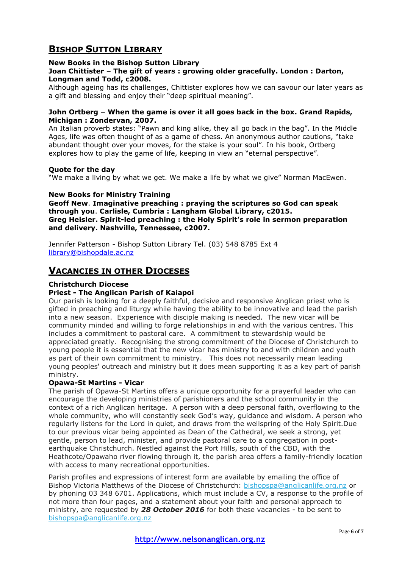# **BISHOP SUTTON LIBRARY**

## **New Books in the Bishop Sutton Library**

**Joan Chittister – The gift of years : growing older gracefully. London : Darton, Longman and Todd, c2008.**

Although ageing has its challenges, Chittister explores how we can savour our later years as a gift and blessing and enjoy their "deep spiritual meaning".

#### **John Ortberg – When the game is over it all goes back in the box. Grand Rapids, Michigan : Zondervan, 2007.**

An Italian proverb states: "Pawn and king alike, they all go back in the bag". In the Middle Ages, life was often thought of as a game of chess. An anonymous author cautions, "take abundant thought over your moves, for the stake is your soul". In his book, Ortberg explores how to play the game of life, keeping in view an "eternal perspective".

#### **Quote for the day**

"We make a living by what we get. We make a life by what we give" Norman MacEwen.

#### **New Books for Ministry Training**

**Geoff New**. **Imaginative preaching : praying the scriptures so God can speak through you**. **Carlisle, Cumbria : Langham Global Library, c2015. Greg Heisler. Spirit-led preaching : the Holy Spirit's role in sermon preparation and delivery. Nashville, Tennessee, c2007.**

Jennifer Patterson - Bishop Sutton Library Tel. (03) 548 8785 Ext 4 [library@bishopdale.ac.nz](mailto:library@bishopdale.ac.nz)

# **VACANCIES IN OTHER DIOCESES**

## **Christchurch Diocese**

## **Priest - The Anglican Parish of Kaiapoi**

Our parish is looking for a deeply faithful, decisive and responsive Anglican priest who is gifted in preaching and liturgy while having the ability to be innovative and lead the parish into a new season. Experience with disciple making is needed. The new vicar will be community minded and willing to forge relationships in and with the various centres. This includes a commitment to pastoral care. A commitment to stewardship would be appreciated greatly. Recognising the strong commitment of the Diocese of Christchurch to young people it is essential that the new vicar has ministry to and with children and youth as part of their own commitment to ministry. This does not necessarily mean leading young peoples' outreach and ministry but it does mean supporting it as a key part of parish ministry.

## **Opawa-St Martins - Vicar**

The parish of Opawa-St Martins offers a unique opportunity for a prayerful leader who can encourage the developing ministries of parishioners and the school community in the context of a rich Anglican heritage. A person with a deep personal faith, overflowing to the whole community, who will constantly seek God's way, guidance and wisdom. A person who regularly listens for the Lord in quiet, and draws from the wellspring of the Holy Spirit.Due to our previous vicar being appointed as Dean of the Cathedral, we seek a strong, yet gentle, person to lead, minister, and provide pastoral care to a congregation in postearthquake Christchurch. Nestled against the Port Hills, south of the CBD, with the Heathcote/Opawaho river flowing through it, the parish area offers a family-friendly location with access to many recreational opportunities.

Parish profiles and expressions of interest form are available by emailing the office of Bishop Victoria Matthews of the Diocese of Christchurch: [bishopspa@anglicanlife.org.nz](mailto:bishopspa@anglicanlife.org.nz?subject=The%20Harvest%20enquiry%20-%20Opawa-St%20Martins) or by phoning 03 348 6701. Applications, which must include a CV, a response to the profile of not more than four pages, and a statement about your faith and personal approach to ministry, are requested by *28 October 2016* for both these vacancies - to be sent to [bishopspa@anglicanlife.org.nz](mailto:bishopspa@anglicanlife.org.nz?subject=Opawa%20St%20Martins%20application)